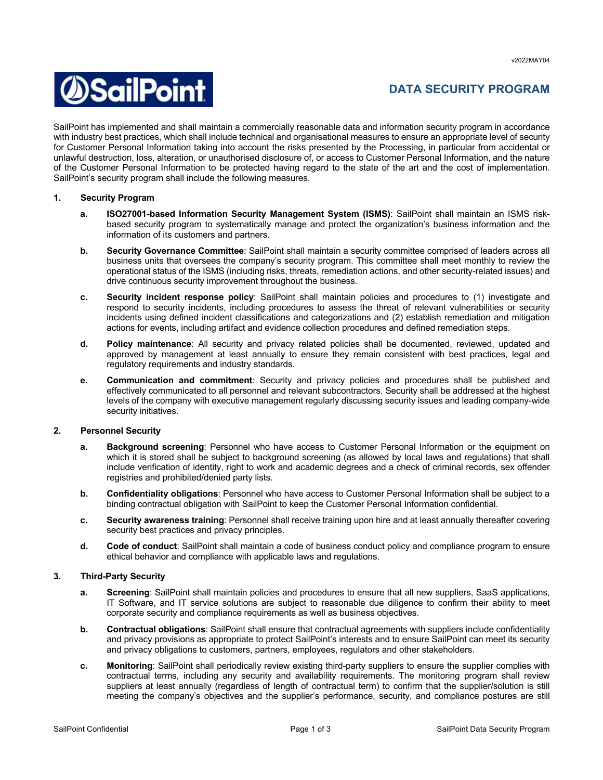v2022MAY04



# **DATA SECURITY PROGRAM**

SailPoint has implemented and shall maintain a commercially reasonable data and information security program in accordance with industry best practices, which shall include technical and organisational measures to ensure an appropriate level of security for Customer Personal Information taking into account the risks presented by the Processing, in particular from accidental or unlawful destruction, loss, alteration, or unauthorised disclosure of, or access to Customer Personal Information, and the nature of the Customer Personal Information to be protected having regard to the state of the art and the cost of implementation. SailPoint's security program shall include the following measures.

## **1. Security Program**

- **a. ISO27001-based Information Security Management System (ISMS)**: SailPoint shall maintain an ISMS riskbased security program to systematically manage and protect the organization's business information and the information of its customers and partners.
- **b. Security Governance Committee**: SailPoint shall maintain a security committee comprised of leaders across all business units that oversees the company's security program. This committee shall meet monthly to review the operational status of the ISMS (including risks, threats, remediation actions, and other security-related issues) and drive continuous security improvement throughout the business.
- **c. Security incident response policy**: SailPoint shall maintain policies and procedures to (1) investigate and respond to security incidents, including procedures to assess the threat of relevant vulnerabilities or security incidents using defined incident classifications and categorizations and (2) establish remediation and mitigation actions for events, including artifact and evidence collection procedures and defined remediation steps.
- **d. Policy maintenance**: All security and privacy related policies shall be documented, reviewed, updated and approved by management at least annually to ensure they remain consistent with best practices, legal and regulatory requirements and industry standards.
- **e. Communication and commitment**: Security and privacy policies and procedures shall be published and effectively communicated to all personnel and relevant subcontractors. Security shall be addressed at the highest levels of the company with executive management regularly discussing security issues and leading company-wide security initiatives.

### **2. Personnel Security**

- **a. Background screening**: Personnel who have access to Customer Personal Information or the equipment on which it is stored shall be subject to background screening (as allowed by local laws and regulations) that shall include verification of identity, right to work and academic degrees and a check of criminal records, sex offender registries and prohibited/denied party lists.
- **b. Confidentiality obligations**: Personnel who have access to Customer Personal Information shall be subject to a binding contractual obligation with SailPoint to keep the Customer Personal Information confidential.
- **c. Security awareness training**: Personnel shall receive training upon hire and at least annually thereafter covering security best practices and privacy principles.
- **d. Code of conduct**: SailPoint shall maintain a code of business conduct policy and compliance program to ensure ethical behavior and compliance with applicable laws and regulations.

### **3. Third-Party Security**

- **a. Screening**: SailPoint shall maintain policies and procedures to ensure that all new suppliers, SaaS applications, IT Software, and IT service solutions are subject to reasonable due diligence to confirm their ability to meet corporate security and compliance requirements as well as business objectives.
- **b. Contractual obligations**: SailPoint shall ensure that contractual agreements with suppliers include confidentiality and privacy provisions as appropriate to protect SailPoint's interests and to ensure SailPoint can meet its security and privacy obligations to customers, partners, employees, regulators and other stakeholders.
- **c. Monitoring**: SailPoint shall periodically review existing third-party suppliers to ensure the supplier complies with contractual terms, including any security and availability requirements. The monitoring program shall review suppliers at least annually (regardless of length of contractual term) to confirm that the supplier/solution is still meeting the company's objectives and the supplier's performance, security, and compliance postures are still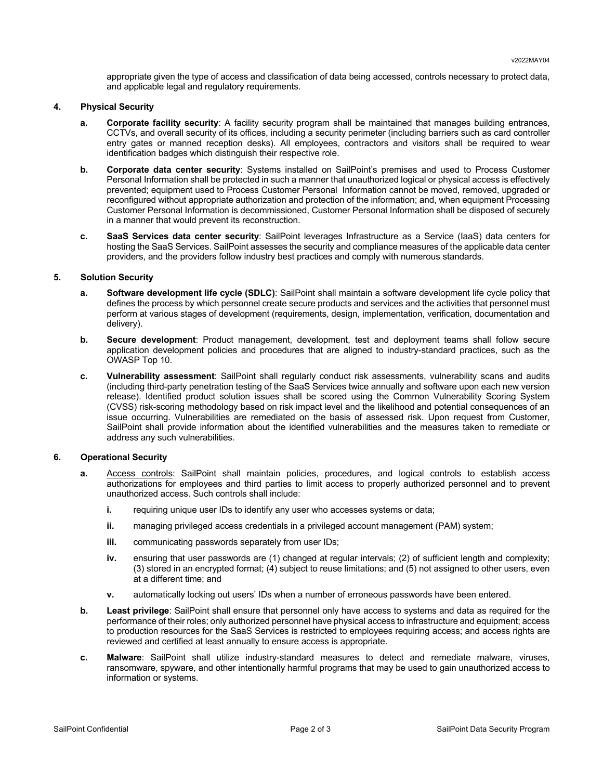appropriate given the type of access and classification of data being accessed, controls necessary to protect data, and applicable legal and regulatory requirements.

#### **4. Physical Security**

- **a. Corporate facility security**: A facility security program shall be maintained that manages building entrances, CCTVs, and overall security of its offices, including a security perimeter (including barriers such as card controller entry gates or manned reception desks). All employees, contractors and visitors shall be required to wear identification badges which distinguish their respective role.
- **b. Corporate data center security**: Systems installed on SailPoint's premises and used to Process Customer Personal Information shall be protected in such a manner that unauthorized logical or physical access is effectively prevented; equipment used to Process Customer Personal Information cannot be moved, removed, upgraded or reconfigured without appropriate authorization and protection of the information; and, when equipment Processing Customer Personal Information is decommissioned, Customer Personal Information shall be disposed of securely in a manner that would prevent its reconstruction.
- **c. SaaS Services data center security**: SailPoint leverages Infrastructure as a Service (IaaS) data centers for hosting the SaaS Services. SailPoint assesses the security and compliance measures of the applicable data center providers, and the providers follow industry best practices and comply with numerous standards.

### **5. Solution Security**

- **a. Software development life cycle (SDLC)**: SailPoint shall maintain a software development life cycle policy that defines the process by which personnel create secure products and services and the activities that personnel must perform at various stages of development (requirements, design, implementation, verification, documentation and delivery).
- **b. Secure development**: Product management, development, test and deployment teams shall follow secure application development policies and procedures that are aligned to industry-standard practices, such as the OWASP Top 10.
- **c. Vulnerability assessment**: SailPoint shall regularly conduct risk assessments, vulnerability scans and audits (including third-party penetration testing of the SaaS Services twice annually and software upon each new version release). Identified product solution issues shall be scored using the Common Vulnerability Scoring System (CVSS) risk-scoring methodology based on risk impact level and the likelihood and potential consequences of an issue occurring. Vulnerabilities are remediated on the basis of assessed risk. Upon request from Customer, SailPoint shall provide information about the identified vulnerabilities and the measures taken to remediate or address any such vulnerabilities.

### **6. Operational Security**

- **a.** Access controls: SailPoint shall maintain policies, procedures, and logical controls to establish access authorizations for employees and third parties to limit access to properly authorized personnel and to prevent unauthorized access. Such controls shall include:
	- **i.** requiring unique user IDs to identify any user who accesses systems or data;
	- **ii.** managing privileged access credentials in a privileged account management (PAM) system;
	- **iii.** communicating passwords separately from user IDs;
	- **iv.** ensuring that user passwords are (1) changed at regular intervals; (2) of sufficient length and complexity; (3) stored in an encrypted format; (4) subject to reuse limitations; and (5) not assigned to other users, even at a different time; and
	- **v.** automatically locking out users' IDs when a number of erroneous passwords have been entered.
- **b. Least privilege**: SailPoint shall ensure that personnel only have access to systems and data as required for the performance of their roles; only authorized personnel have physical access to infrastructure and equipment; access to production resources for the SaaS Services is restricted to employees requiring access; and access rights are reviewed and certified at least annually to ensure access is appropriate.
- **c. Malware**: SailPoint shall utilize industry-standard measures to detect and remediate malware, viruses, ransomware, spyware, and other intentionally harmful programs that may be used to gain unauthorized access to information or systems.